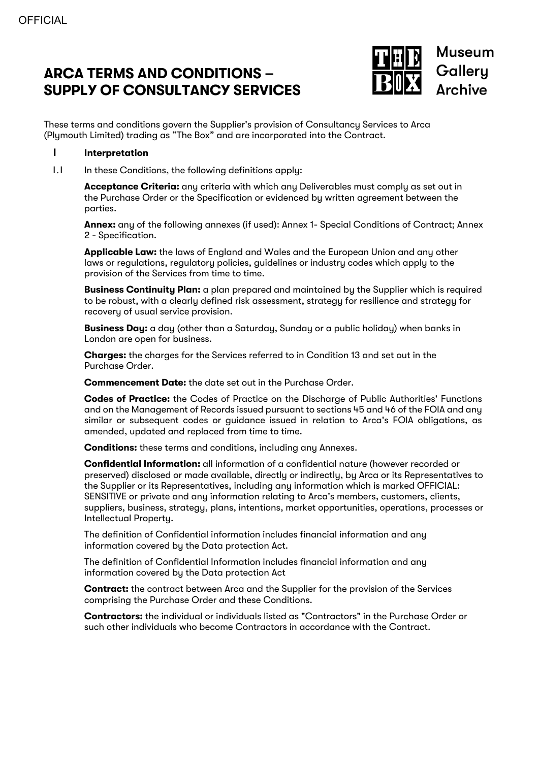# **ARCA TERMS AND CONDITIONS – SUPPLY OF CONSULTANCY SERVICES**



These terms and conditions govern the Supplier's provision of Consultancy Services to Arca (Plymouth Limited) trading as "The Box" and are incorporated into the Contract.

#### **1 Interpretation**

1.1 In these Conditions, the following definitions apply:

**Acceptance Criteria:** any criteria with which any Deliverables must comply as set out in the Purchase Order or the Specification or evidenced by written agreement between the parties.

**Annex:** any of the following annexes (if used): Annex 1- Special Conditions of Contract; Annex 2 - Specification.

**Applicable Law:** the laws of England and Wales and the European Union and any other laws or regulations, regulatory policies, guidelines or industry codes which apply to the provision of the Services from time to time.

**Business Continuity Plan:** a plan prepared and maintained by the Supplier which is required to be robust, with a clearly defined risk assessment, strategy for resilience and strategy for recovery of usual service provision.

**Business Day:** a day (other than a Saturday, Sunday or a public holiday) when banks in London are open for business.

**Charges:** the charges for the Services referred to in Condition 13 and set out in the Purchase Order.

**Commencement Date:** the date set out in the Purchase Order.

**Codes of Practice:** the Codes of Practice on the Discharge of Public Authorities' Functions and on the Management of Records issued pursuant to sections 45 and 46 of the FOIA and any similar or subsequent codes or guidance issued in relation to Arca's FOIA obligations, as amended, updated and replaced from time to time.

**Conditions:** these terms and conditions, including any Annexes.

**Confidential Information:** all information of a confidential nature (however recorded or preserved) disclosed or made available, directly or indirectly, by Arca or its Representatives to the Supplier or its Representatives, including any information which is marked OFFICIAL: SENSITIVE or private and any information relating to Arca's members, customers, clients, suppliers, business, strategy, plans, intentions, market opportunities, operations, processes or Intellectual Property.

The definition of Confidential information includes financial information and any information covered by the Data protection Act.

The definition of Confidential Information includes financial information and any information covered by the Data protection Act

**Contract:** the contract between Arca and the Supplier for the provision of the Services comprising the Purchase Order and these Conditions.

**Contractors:** the individual or individuals listed as "Contractors" in the Purchase Order or such other individuals who become Contractors in accordance with the Contract.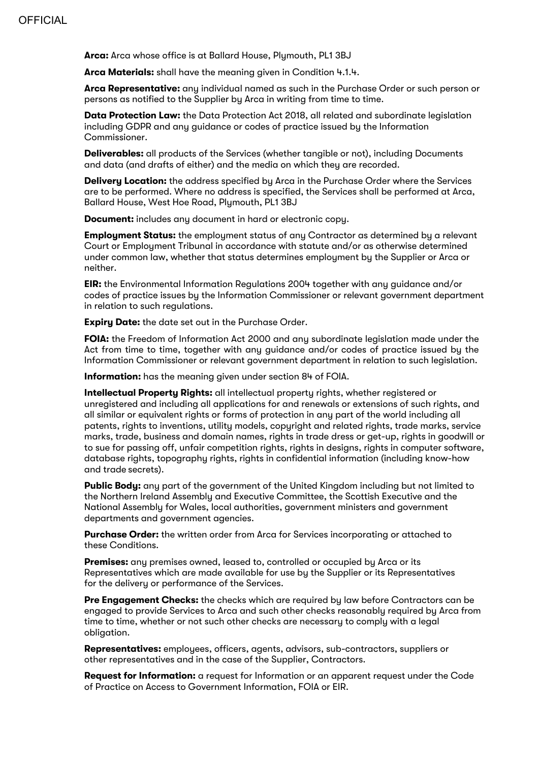**Arca:** Arca whose office is at Ballard House, Plymouth, PL1 3BJ

**Arca Materials:** shall have the meaning given in Condition 4.1.4.

**Arca Representative:** any individual named as such in the Purchase Order or such person or persons as notified to the Supplier by Arca in writing from time to time.

**Data Protection Law:** the Data Protection Act 2018, all related and subordinate legislation including GDPR and any guidance or codes of practice issued by the Information Commissioner.

**Deliverables:** all products of the Services (whether tangible or not), including Documents and data (and drafts of either) and the media on which they are recorded.

**Delivery Location:** the address specified by Arca in the Purchase Order where the Services are to be performed. Where no address is specified, the Services shall be performed at Arca, Ballard House, West Hoe Road, Plymouth, PL1 3BJ

**Document:** includes any document in hard or electronic copy.

**Employment Status:** the employment status of any Contractor as determined by a relevant Court or Employment Tribunal in accordance with statute and/or as otherwise determined under common law, whether that status determines employment by the Supplier or Arca or neither.

**EIR:** the Environmental Information Regulations 2004 together with any guidance and/or codes of practice issues by the Information Commissioner or relevant government department in relation to such regulations.

**Expiry Date:** the date set out in the Purchase Order.

**FOIA:** the Freedom of Information Act 2000 and any subordinate legislation made under the Act from time to time, together with any guidance and/or codes of practice issued by the Information Commissioner or relevant government department in relation to such legislation.

**Information:** has the meaning given under section 84 of FOIA.

**Intellectual Property Rights:** all intellectual property rights, whether registered or unregistered and including all applications for and renewals or extensions of such rights, and all similar or equivalent rights or forms of protection in any part of the world including all patents, rights to inventions, utility models, copyright and related rights, trade marks, service marks, trade, business and domain names, rights in trade dress or get-up, rights in goodwill or to sue for passing off, unfair competition rights, rights in designs, rights in computer software, database rights, topography rights, rights in confidential information (including know-how and trade secrets).

**Public Body:** any part of the government of the United Kingdom including but not limited to the Northern Ireland Assembly and Executive Committee, the Scottish Executive and the National Assembly for Wales, local authorities, government ministers and government departments and government agencies.

**Purchase Order:** the written order from Arca for Services incorporating or attached to these Conditions.

**Premises:** any premises owned, leased to, controlled or occupied by Arca or its Representatives which are made available for use by the Supplier or its Representatives for the delivery or performance of the Services.

**Pre Engagement Checks:** the checks which are required by law before Contractors can be engaged to provide Services to Arca and such other checks reasonably required by Arca from time to time, whether or not such other checks are necessary to comply with a legal obligation.

**Representatives:** employees, officers, agents, advisors, sub-contractors, suppliers or other representatives and in the case of the Supplier, Contractors.

**Request for Information:** a request for Information or an apparent request under the Code of Practice on Access to Government Information, FOIA or EIR.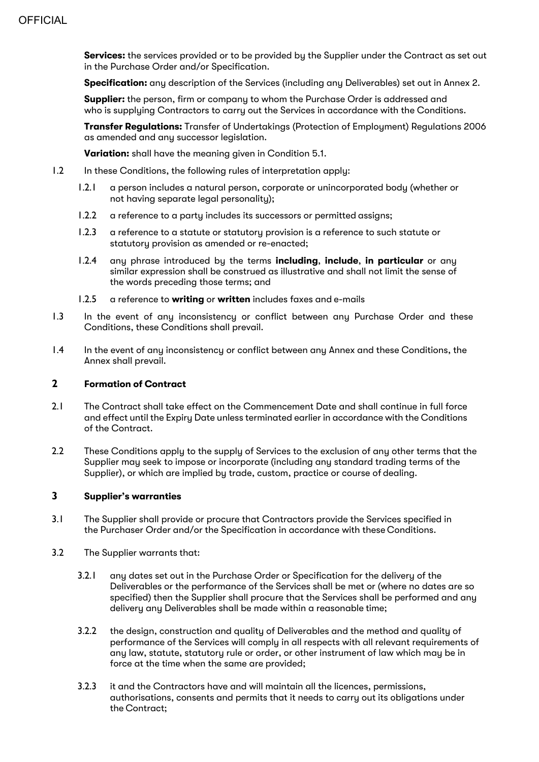**Services:** the services provided or to be provided by the Supplier under the Contract as set out in the Purchase Order and/or Specification.

**Specification:** any description of the Services (including any Deliverables) set out in Annex 2.

**Supplier:** the person, firm or company to whom the Purchase Order is addressed and who is supplying Contractors to carry out the Services in accordance with the Conditions.

**Transfer Regulations:** Transfer of Undertakings (Protection of Employment) Regulations 2006 as amended and any successor legislation.

**Variation:** shall have the meaning given in Condition 5.1.

- 1.2 In these Conditions, the following rules of interpretation apply:
	- 1.2.1 a person includes a natural person, corporate or unincorporated body (whether or not having separate legal personality);
	- 1.2.2 a reference to a partu includes its successors or permitted assigns;
	- 1.2.3 a reference to a statute or statutory provision is a reference to such statute or statutoru provision as amended or re-enacted:
	- 1.2.4 any phrase introduced by the terms **including**, **include**, **in particular** or any similar expression shall be construed as illustrative and shall not limit the sense of the words preceding those terms; and
	- 1.2.5 a reference to **writing** or **written** includes faxes and e-mails
- 1.3 In the event of any inconsistency or conflict between any Purchase Order and these Conditions, these Conditions shall prevail.
- 1.4 In the event of any inconsistency or conflict between any Annex and these Conditions, the Annex shall prevail.

# **2 Formation of Contract**

- 2.1 The Contract shall take effect on the Commencement Date and shall continue in full force and effect until the Expiry Date unless terminated earlier in accordance with the Conditions of the Contract.
- 2.2 These Conditions apply to the supply of Services to the exclusion of any other terms that the Supplier may seek to impose or incorporate (including any standard trading terms of the Supplier), or which are implied by trade, custom, practice or course of dealing.

# **3 Supplier's warranties**

- 3.1 The Supplier shall provide or procure that Contractors provide the Services specified in the Purchaser Order and/or the Specification in accordance with these Conditions.
- 3.2 The Supplier warrants that:
	- 3.2.1 any dates set out in the Purchase Order or Specification for the delivery of the Deliverables or the performance of the Services shall be met or (where no dates are so specified) then the Supplier shall procure that the Services shall be performed and any delivery any Deliverables shall be made within a reasonable time;
	- 3.2.2 the design, construction and quality of Deliverables and the method and quality of performance of the Services will comply in all respects with all relevant requirements of any law, statute, statutory rule or order, or other instrument of law which may be in force at the time when the same are provided;
	- 3.2.3 it and the Contractors have and will maintain all the licences, permissions, authorisations, consents and permits that it needs to carry out its obligations under the Contract;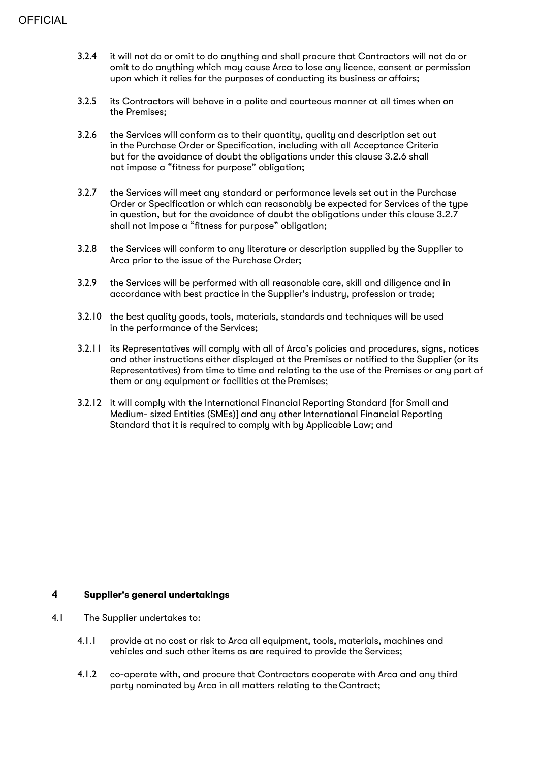- 3.2.4 it will not do or omit to do anything and shall procure that Contractors will not do or omit to do anything which may cause Arca to lose any licence, consent or permission upon which it relies for the purposes of conducting its business or affairs;
- 3.2.5 its Contractors will behave in a polite and courteous manner at all times when on the Premises;
- 3.2.6 the Services will conform as to their quantity, quality and description set out in the Purchase Order or Specification, including with all Acceptance Criteria but for the avoidance of doubt the obligations under this clause 3.2.6 shall not impose a "fitness for purpose" obligation;
- 3.2.7 the Services will meet any standard or performance levels set out in the Purchase Order or Specification or which can reasonably be expected for Services of the type in question, but for the avoidance of doubt the obligations under this clause 3.2.7 shall not impose a "fitness for purpose" obligation;
- 3.2.8 the Services will conform to any literature or description supplied by the Supplier to Arca prior to the issue of the Purchase Order;
- 3.2.9 the Services will be performed with all reasonable care, skill and diligence and in accordance with best practice in the Supplier's industry, profession or trade;
- 3.2.10 the best quality goods, tools, materials, standards and techniques will be used in the performance of the Services;
- 3.2.11 its Representatives will comply with all of Arca's policies and procedures, signs, notices and other instructions either displayed at the Premises or notified to the Supplier (or its Representatives) from time to time and relating to the use of the Premises or any part of them or any equipment or facilities at the Premises;
- 3.2.12 it will comply with the International Financial Reporting Standard [for Small and Medium- sized Entities (SMEs)] and any other International Financial Reporting Standard that it is required to comply with by Applicable Law; and

#### **4 Supplier's general undertakings**

- 4.1 The Supplier undertakes to:
	- 4.1.1 provide at no cost or risk to Arca all equipment, tools, materials, machines and vehicles and such other items as are required to provide the Services;
	- 4.1.2 co-operate with, and procure that Contractors cooperate with Arca and any third party nominated by Arca in all matters relating to the Contract;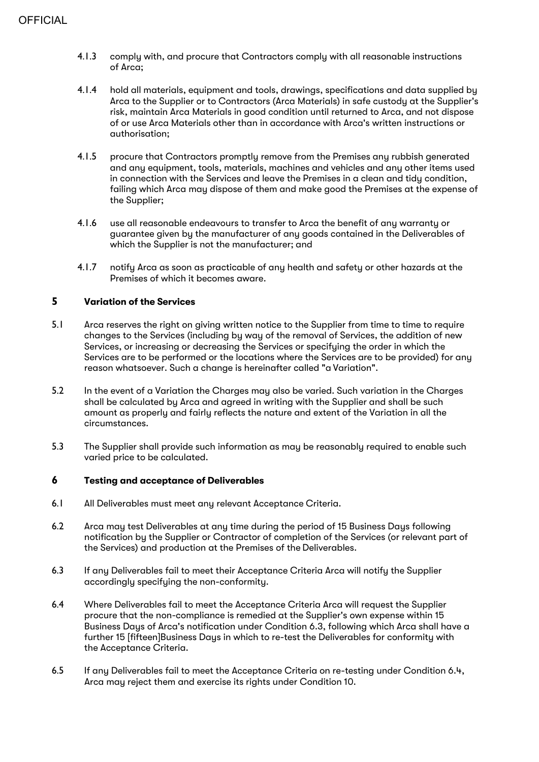- 4.1.3 comply with, and procure that Contractors comply with all reasonable instructions of Arca;
- 4.1.4 hold all materials, equipment and tools, drawings, specifications and data supplied by Arca to the Supplier or to Contractors (Arca Materials) in safe custody at the Supplier's risk, maintain Arca Materials in good condition until returned to Arca, and not dispose of or use Arca Materials other than in accordance with Arca's written instructions or authorisation;
- 4.1.5 procure that Contractors promptly remove from the Premises any rubbish generated and any equipment, tools, materials, machines and vehicles and any other items used in connection with the Services and leave the Premises in a clean and tidy condition, failing which Arca may dispose of them and make good the Premises at the expense of the Supplier;
- 4.1.6 use all reasonable endeavours to transfer to Arca the benefit of any warranty or guarantee given by the manufacturer of any goods contained in the Deliverables of which the Supplier is not the manufacturer; and
- 4.1.7 notify Arca as soon as practicable of any health and safety or other hazards at the Premises of which it becomes aware.

# **5 Variation of the Services**

- 5.1 Arca reserves the right on giving written notice to the Supplier from time to time to require changes to the Services (including by way of the removal of Services, the addition of new Services, or increasing or decreasing the Services or specifying the order in which the Services are to be performed or the locations where the Services are to be provided) for any reason whatsoever. Such a change is hereinafter called "a Variation".
- 5.2 In the event of a Variation the Charges may also be varied. Such variation in the Charges shall be calculated by Arca and agreed in writing with the Supplier and shall be such amount as properly and fairly reflects the nature and extent of the Variation in all the circumstances.
- 5.3 The Supplier shall provide such information as may be reasonably required to enable such varied price to be calculated.

#### **6 Testing and acceptance of Deliverables**

- 6.1 All Deliverables must meet any relevant Acceptance Criteria.
- 6.2 Arca may test Deliverables at any time during the period of 15 Business Days following notification by the Supplier or Contractor of completion of the Services (or relevant part of the Services) and production at the Premises of the Deliverables.
- 6.3 If any Deliverables fail to meet their Acceptance Criteria Arca will notify the Supplier accordingly specifying the non-conformity.
- 6.4 Where Deliverables fail to meet the Acceptance Criteria Arca will request the Supplier procure that the non-compliance is remedied at the Supplier's own expense within 15 Business Days of Arca's notification under Condition 6.3, following which Arca shall have a further 15 [fifteen]Business Days in which to re-test the Deliverables for conformity with the Acceptance Criteria.
- 6.5 If any Deliverables fail to meet the Acceptance Criteria on re-testing under Condition 6.4, Arca may reject them and exercise its rights under Condition 10.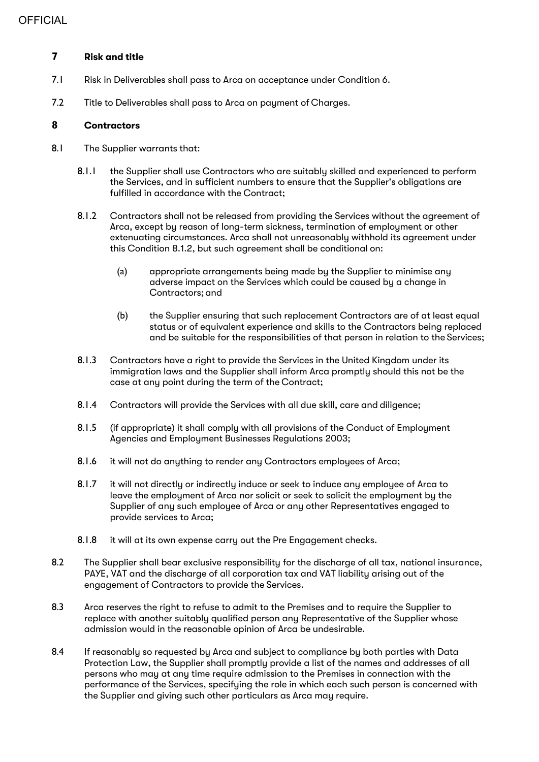# **7 Risk and title**

- 7.1 Risk in Deliverables shall pass to Arca on acceptance under Condition 6.
- 7.2 Title to Deliverables shall pass to Arca on payment of Charges.

# **8 Contractors**

- 8.1 The Supplier warrants that:
	- 8.1.1 the Supplier shall use Contractors who are suitably skilled and experienced to perform the Services, and in sufficient numbers to ensure that the Supplier's obligations are fulfilled in accordance with the Contract;
	- 8.1.2 Contractors shall not be released from providing the Services without the agreement of Arca, except by reason of long-term sickness, termination of employment or other extenuating circumstances. Arca shall not unreasonably withhold its agreement under this Condition 8.1.2, but such agreement shall be conditional on:
		- (a) appropriate arrangements being made by the Supplier to minimise any adverse impact on the Services which could be caused by a change in Contractors; and
		- (b) the Supplier ensuring that such replacement Contractors are of at least equal status or of equivalent experience and skills to the Contractors being replaced and be suitable for the responsibilities of that person in relation to the Services;
	- 8.1.3 Contractors have a right to provide the Services in the United Kingdom under its immigration laws and the Supplier shall inform Arca promptly should this not be the case at any point during the term of the Contract;
	- 8.1.4 Contractors will provide the Services with all due skill, care and diligence;
	- 8.1.5 (if appropriate) it shall comply with all provisions of the Conduct of Employment Agencies and Employment Businesses Regulations 2003;
	- 8.1.6 it will not do anything to render any Contractors employees of Arca;
	- 8.1.7 it will not directly or indirectly induce or seek to induce any employee of Arca to leave the employment of Arca nor solicit or seek to solicit the employment by the Supplier of any such employee of Arca or any other Representatives engaged to provide services to Arca;
	- 8.1.8 it will at its own expense carry out the Pre Engagement checks.
- 8.2 The Supplier shall bear exclusive responsibility for the discharge of all tax, national insurance, PAYE, VAT and the discharge of all corporation tax and VAT liability arising out of the engagement of Contractors to provide the Services.
- 8.3 Arca reserves the right to refuse to admit to the Premises and to require the Supplier to replace with another suitably qualified person any Representative of the Supplier whose admission would in the reasonable opinion of Arca be undesirable.
- 8.4 If reasonably so requested by Arca and subject to compliance by both parties with Data Protection Law, the Supplier shall promptly provide a list of the names and addresses of all persons who may at any time require admission to the Premises in connection with the performance of the Services, specifying the role in which each such person is concerned with the Supplier and giving such other particulars as Arca may require.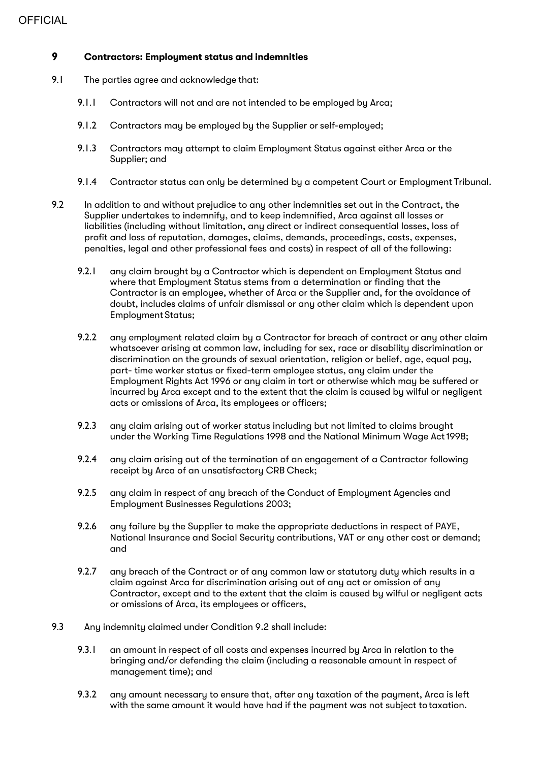# **9 Contractors: Employment status and indemnities**

- 9.1 The parties agree and acknowledge that:
	- 9.1.1 Contractors will not and are not intended to be employed by Arca;
	- 9.1.2 Contractors may be employed by the Supplier or self-employed;
	- 9.1.3 Contractors may attempt to claim Employment Status against either Arca or the Supplier; and
	- 9.1.4 Contractor status can only be determined by a competent Court or Employment Tribunal.
- 9.2 In addition to and without prejudice to any other indemnities set out in the Contract, the Supplier undertakes to indemnify, and to keep indemnified, Arca against all losses or liabilities (including without limitation, any direct or indirect consequential losses, loss of profit and loss of reputation, damages, claims, demands, proceedings, costs, expenses, penalties, legal and other professional fees and costs) in respect of all of the following:
	- 9.2.1 any claim brought by a Contractor which is dependent on Employment Status and where that Employment Status stems from a determination or finding that the Contractor is an employee, whether of Arca or the Supplier and, for the avoidance of doubt, includes claims of unfair dismissal or any other claim which is dependent upon Employment Status;
	- 9.2.2 any employment related claim by a Contractor for breach of contract or any other claim whatsoever arising at common law, including for sex, race or disability discrimination or discrimination on the grounds of sexual orientation, religion or belief, age, equal pay, part- time worker status or fixed-term employee status, any claim under the Employment Rights Act 1996 or any claim in tort or otherwise which may be suffered or incurred by Arca except and to the extent that the claim is caused by wilful or negligent acts or omissions of Arca, its employees or officers;
	- 9.2.3 any claim arising out of worker status including but not limited to claims brought under the Working Time Regulations 1998 and the National Minimum Wage Act1998;
	- 9.2.4 any claim arising out of the termination of an engagement of a Contractor following receipt by Arca of an unsatisfactory CRB Check;
	- 9.2.5 any claim in respect of any breach of the Conduct of Employment Agencies and Employment Businesses Regulations 2003;
	- 9.2.6 any failure by the Supplier to make the appropriate deductions in respect of PAYE, National Insurance and Social Security contributions, VAT or any other cost or demand; and
	- 9.2.7 any breach of the Contract or of any common law or statutory duty which results in a claim against Arca for discrimination arising out of any act or omission of any Contractor, except and to the extent that the claim is caused by wilful or negligent acts or omissions of Arca, its employees or officers,
- 9.3 Any indemnity claimed under Condition 9.2 shall include:
	- 9.3.1 an amount in respect of all costs and expenses incurred by Arca in relation to the bringing and/or defending the claim (including a reasonable amount in respect of management time); and
	- 9.3.2 any amount necessary to ensure that, after any taxation of the payment, Arca is left with the same amount it would have had if the payment was not subject totaxation.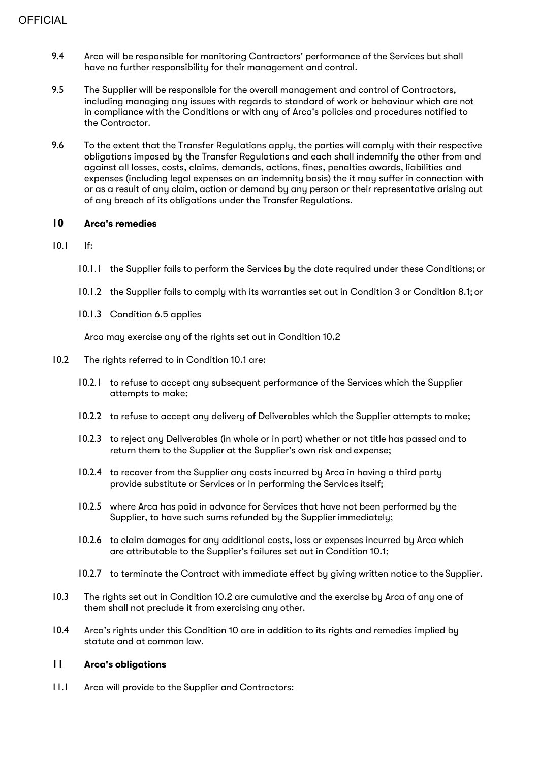- 9.4 Arca will be responsible for monitoring Contractors' performance of the Services but shall have no further responsibility for their management and control.
- 9.5 The Supplier will be responsible for the overall management and control of Contractors, including managing any issues with regards to standard of work or behaviour which are not in compliance with the Conditions or with any of Arca's policies and procedures notified to the Contractor.
- 9.6 To the extent that the Transfer Regulations apply, the parties will comply with their respective obligations imposed by the Transfer Regulations and each shall indemnify the other from and against all losses, costs, claims, demands, actions, fines, penalties awards, liabilities and expenses (including legal expenses on an indemnity basis) the it may suffer in connection with or as a result of any claim, action or demand by any person or their representative arising out of any breach of its obligations under the Transfer Regulations.

#### **10 Arca's remedies**

- 10.1 If:
	- 10.1.1 the Supplier fails to perform the Services by the date required under these Conditions;or
	- 10.1.2 the Supplier fails to comply with its warranties set out in Condition 3 or Condition 8.1; or
	- 10.1.3 Condition 6.5 applies

Arca may exercise any of the rights set out in Condition 10.2

- 10.2 The rights referred to in Condition 10.1 are:
	- 10.2.1 to refuse to accept any subsequent performance of the Services which the Supplier attempts to make;
	- 10.2.2 to refuse to accept any delivery of Deliverables which the Supplier attempts to make;
	- 10.2.3 to reject any Deliverables (in whole or in part) whether or not title has passed and to return them to the Supplier at the Supplier's own risk and expense;
	- 10.2.4 to recover from the Supplier any costs incurred by Arca in having a third party provide substitute or Services or in performing the Services itself;
	- 10.2.5 where Arca has paid in advance for Services that have not been performed by the Supplier, to have such sums refunded by the Supplier immediately;
	- 10.2.6 to claim damages for any additional costs, loss or expenses incurred by Arca which are attributable to the Supplier's failures set out in Condition 10.1;
	- 10.2.7 to terminate the Contract with immediate effect by giving written notice to theSupplier.
- 10.3 The rights set out in Condition 10.2 are cumulative and the exercise by Arca of any one of them shall not preclude it from exercising any other.
- 10.4 Arca's rights under this Condition 10 are in addition to its rights and remedies implied by statute and at common law.

# **11 Arca's obligations**

11.1 Arca will provide to the Supplier and Contractors: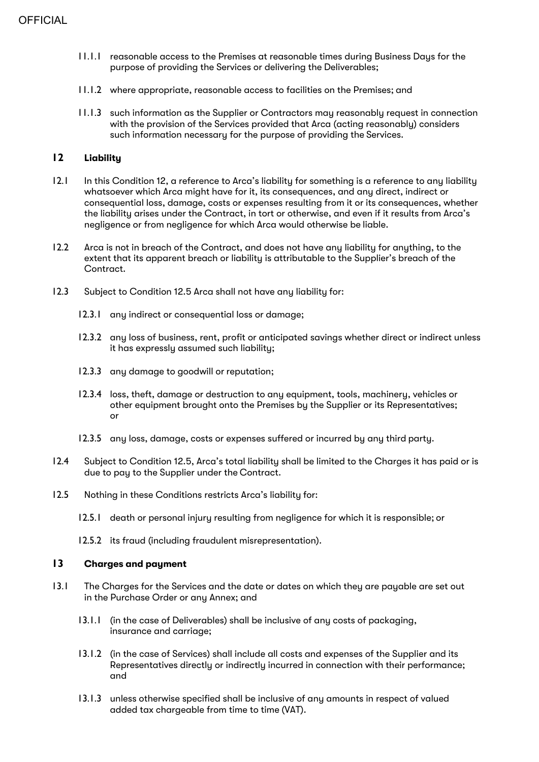- 11.1.1 reasonable access to the Premises at reasonable times during Business Days for the purpose of providing the Services or delivering the Deliverables;
- 11.1.2 where appropriate, reasonable access to facilities on the Premises; and
- 11.1.3 such information as the Supplier or Contractors may reasonably request in connection with the provision of the Services provided that Arca (acting reasonably) considers such information necessary for the purpose of providing the Services.

# **12 Liability**

- 12.1 In this Condition 12, a reference to Arca's liability for something is a reference to any liability whatsoever which Arca might have for it, its consequences, and any direct, indirect or consequential loss, damage, costs or expenses resulting from it or its consequences, whether the liability arises under the Contract, in tort or otherwise, and even if it results from Arca's negligence or from negligence for which Arca would otherwise be liable.
- 12.2 Arca is not in breach of the Contract, and does not have any liability for anything, to the extent that its apparent breach or liability is attributable to the Supplier's breach of the Contract.
- 12.3 Subject to Condition 12.5 Arca shall not have any liability for:
	- 12.3.1 any indirect or consequential loss or damage:
	- 12.3.2 any loss of business, rent, profit or anticipated savings whether direct or indirect unless it has expressly assumed such liability;
	- 12.3.3 any damage to goodwill or reputation;
	- 12.3.4 loss, theft, damage or destruction to any equipment, tools, machinery, vehicles or other equipment brought onto the Premises by the Supplier or its Representatives; or
	- 12.3.5 any loss, damage, costs or expenses suffered or incurred by any third party.
- 12.4 Subject to Condition 12.5, Arca's total liability shall be limited to the Charges it has paid or is due to pay to the Supplier under the Contract.
- 12.5 Nothing in these Conditions restricts Arca's liability for:
	- 12.5.1 death or personal injury resulting from negligence for which it is responsible; or
	- 12.5.2 its fraud (including fraudulent misrepresentation).

#### **13 Charges and payment**

- 13.1 The Charges for the Services and the date or dates on which they are payable are set out in the Purchase Order or any Annex; and
	- 13.1.1 (in the case of Deliverables) shall be inclusive of any costs of packaging, insurance and carriage;
	- 13.1.2 (in the case of Services) shall include all costs and expenses of the Supplier and its Representatives directly or indirectly incurred in connection with their performance; and
	- 13.1.3 unless otherwise specified shall be inclusive of any amounts in respect of valued added tax chargeable from time to time (VAT).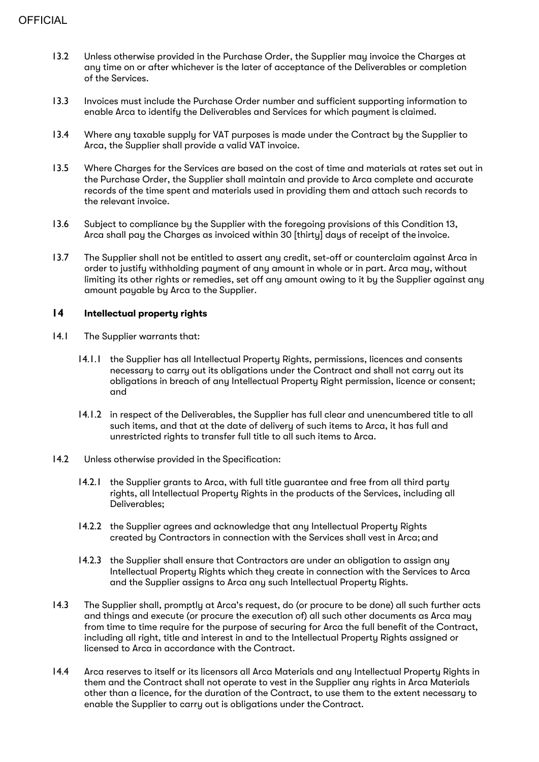- 13.2 Unless otherwise provided in the Purchase Order, the Supplier may invoice the Charges at any time on or after whichever is the later of acceptance of the Deliverables or completion of the Services.
- 13.3 Invoices must include the Purchase Order number and sufficient supporting information to enable Arca to identify the Deliverables and Services for which payment is claimed.
- 13.4 Where any taxable supply for VAT purposes is made under the Contract by the Supplier to Arca, the Supplier shall provide a valid VAT invoice.
- 13.5 Where Charges for the Services are based on the cost of time and materials at rates set out in the Purchase Order, the Supplier shall maintain and provide to Arca complete and accurate records of the time spent and materials used in providing them and attach such records to the relevant invoice.
- 13.6 Subject to compliance by the Supplier with the foregoing provisions of this Condition 13, Arca shall pay the Charges as invoiced within 30 [thirty] days of receipt of the invoice.
- 13.7 The Supplier shall not be entitled to assert any credit, set-off or counterclaim against Arca in order to justify withholding payment of any amount in whole or in part. Arca may, without limiting its other rights or remedies, set off any amount owing to it by the Supplier against any amount payable by Arca to the Supplier.

# **14 Intellectual property rights**

- 14.1 The Supplier warrants that:
	- 14.1.1 the Supplier has all Intellectual Property Rights, permissions, licences and consents necessary to carry out its obligations under the Contract and shall not carry out its obligations in breach of any Intellectual Property Right permission, licence or consent; and
	- 14.1.2 in respect of the Deliverables, the Supplier has full clear and unencumbered title to all such items, and that at the date of delivery of such items to Arca, it has full and unrestricted rights to transfer full title to all such items to Arca.
- 14.2 Unless otherwise provided in the Specification:
	- 14.2.1 the Supplier grants to Arca, with full title guarantee and free from all third party rights, all Intellectual Property Rights in the products of the Services, including all Deliverables;
	- 14.2.2 the Supplier agrees and acknowledge that any Intellectual Property Rights created by Contractors in connection with the Services shall vest in Arca; and
	- 14.2.3 the Supplier shall ensure that Contractors are under an obligation to assign any Intellectual Property Rights which they create in connection with the Services to Arca and the Supplier assigns to Arca any such Intellectual Property Rights.
- 14.3 The Supplier shall, promptly at Arca's request, do (or procure to be done) all such further acts and things and execute (or procure the execution of) all such other documents as Arca may from time to time require for the purpose of securing for Arca the full benefit of the Contract, including all right, title and interest in and to the Intellectual Property Rights assigned or licensed to Arca in accordance with the Contract.
- 14.4 Arca reserves to itself or its licensors all Arca Materials and any Intellectual Property Rights in them and the Contract shall not operate to vest in the Supplier any rights in Arca Materials other than a licence, for the duration of the Contract, to use them to the extent necessary to enable the Supplier to carry out is obligations under the Contract.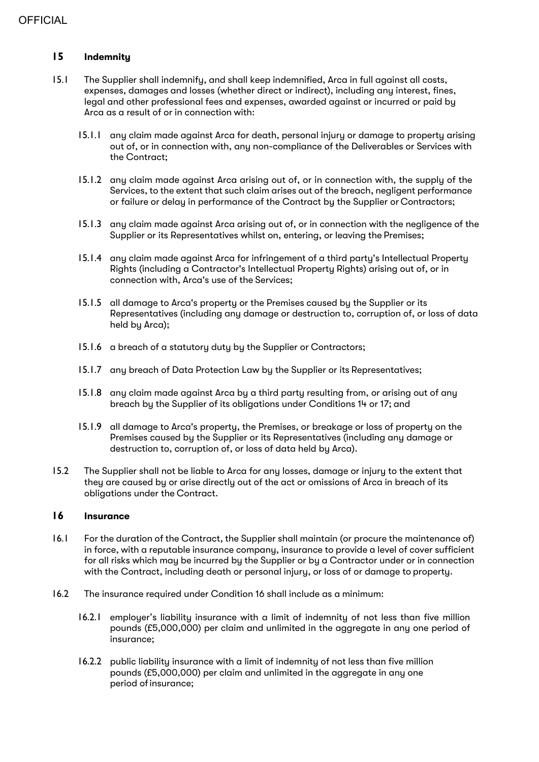# **15 Indemnity**

- 15.1 The Supplier shall indemnify, and shall keep indemnified, Arca in full against all costs, expenses, damages and losses (whether direct or indirect), including any interest, fines, legal and other professional fees and expenses, awarded against or incurred or paid by Arca as a result of or in connection with:
	- 15.1.1 any claim made against Arca for death, personal injury or damage to property arising out of, or in connection with, any non-compliance of the Deliverables or Services with the Contract;
	- 15.1.2 any claim made against Arca arising out of, or in connection with, the supply of the Services, to the extent that such claim arises out of the breach, negligent performance or failure or delay in performance of the Contract by the Supplier or Contractors;
	- 15.1.3 any claim made against Arca arising out of, or in connection with the negligence of the Supplier or its Representatives whilst on, entering, or leaving the Premises;
	- 15.1.4 any claim made against Arca for infringement of a third party's Intellectual Property Rights (including a Contractor's Intellectual Property Rights) arising out of, or in connection with, Arca's use of the Services;
	- 15.1.5 all damage to Arca's property or the Premises caused by the Supplier or its Representatives (including any damage or destruction to, corruption of, or loss of data held by Arca);
	- 15.1.6 a breach of a statutory duty by the Supplier or Contractors;
	- 15.1.7 any breach of Data Protection Law by the Supplier or its Representatives;
	- 15.1.8 any claim made against Arca by a third party resulting from, or arising out of any breach by the Supplier of its obligations under Conditions 14 or 17; and
	- 15.1.9 all damage to Arca's property, the Premises, or breakage or loss of property on the Premises caused by the Supplier or its Representatives (including any damage or destruction to, corruption of, or loss of data held by Arca).
- 15.2 The Supplier shall not be liable to Arca for any losses, damage or injury to the extent that they are caused by or arise directly out of the act or omissions of Arca in breach of its obligations under the Contract.

### **16 Insurance**

- 16.1 For the duration of the Contract, the Supplier shall maintain (or procure the maintenance of) in force, with a reputable insurance company, insurance to provide a level of cover sufficient for all risks which may be incurred by the Supplier or by a Contractor under or in connection with the Contract, including death or personal injury, or loss of or damage to property.
- 16.2 The insurance required under Condition 16 shall include as a minimum:
	- 16.2.1 emplouer's liability insurance with a limit of indemnity of not less than five million pounds (£5,000,000) per claim and unlimited in the aggregate in any one period of insurance;
	- 16.2.2 public liability insurance with a limit of indemnity of not less than five million pounds (£5,000,000) per claim and unlimited in the aggregate in any one period of insurance;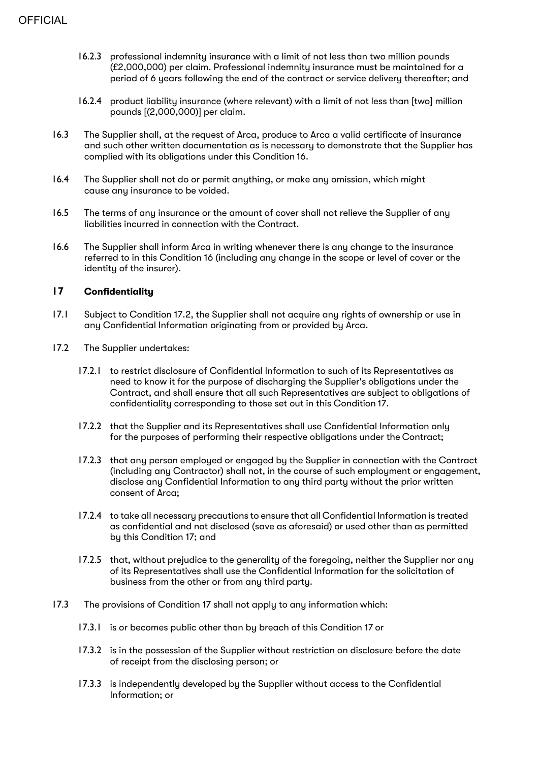- 16.2.3 professional indemnity insurance with a limit of not less than two million pounds (£2,000,000) per claim. Professional indemnity insurance must be maintained for a period of 6 years following the end of the contract or service delivery thereafter; and
- 16.2.4 product liability insurance (where relevant) with a limit of not less than [two] million pounds [(2,000,000)] per claim.
- 16.3 The Supplier shall, at the request of Arca, produce to Arca a valid certificate of insurance and such other written documentation as is necessary to demonstrate that the Supplier has complied with its obligations under this Condition 16.
- 16.4 The Supplier shall not do or permit anything, or make any omission, which might cause any insurance to be voided.
- 16.5 The terms of any insurance or the amount of cover shall not relieve the Supplier of any liabilities incurred in connection with the Contract.
- 16.6 The Supplier shall inform Arca in writing whenever there is any change to the insurance referred to in this Condition 16 (including any change in the scope or level of cover or the identity of the insurer).

#### **17 Confidentiality**

- 17.1 Subject to Condition 17.2, the Supplier shall not acquire any rights of ownership or use in any Confidential Information originating from or provided by Arca.
- 17.2 The Supplier undertakes:
	- 17.2.1 to restrict disclosure of Confidential Information to such of its Representatives as need to know it for the purpose of discharging the Supplier's obligations under the Contract, and shall ensure that all such Representatives are subject to obligations of confidentiality corresponding to those set out in this Condition 17.
	- 17.2.2 that the Supplier and its Representatives shall use Confidential Information only for the purposes of performing their respective obligations under the Contract;
	- 17.2.3 that any person employed or engaged by the Supplier in connection with the Contract (including any Contractor) shall not, in the course of such employment or engagement, disclose any Confidential Information to any third party without the prior written consent of Arca;
	- 17.2.4 to take all necessary precautions to ensure that all Confidential Information is treated as confidential and not disclosed (save as aforesaid) or used other than as permitted by this Condition 17; and
	- 17.2.5 that, without prejudice to the generality of the foregoing, neither the Supplier nor any of its Representatives shall use the Confidential Information for the solicitation of business from the other or from any third party.
- 17.3 The provisions of Condition 17 shall not apply to any information which:
	- 17.3.1 is or becomes public other than by breach of this Condition 17 or
	- 17.3.2 is in the possession of the Supplier without restriction on disclosure before the date of receipt from the disclosing person; or
	- 17.3.3 is independently developed by the Supplier without access to the Confidential Information; or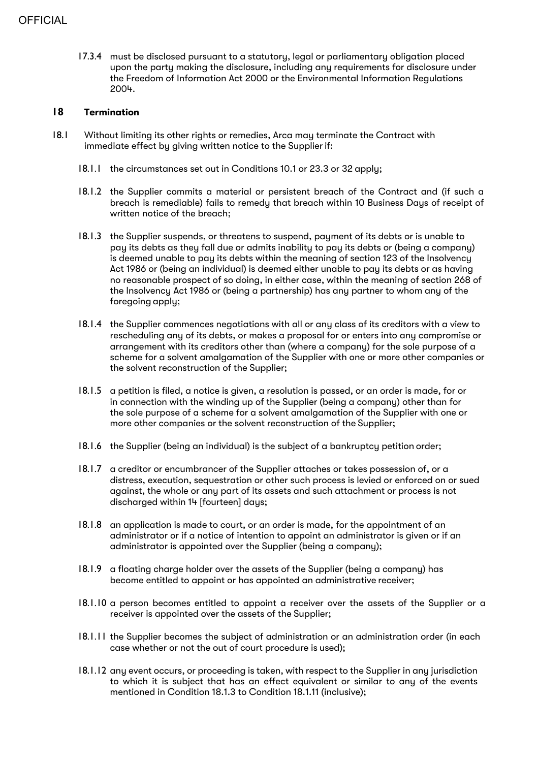17.3.4 must be disclosed pursuant to a statutory, legal or parliamentary obligation placed upon the party making the disclosure, including any requirements for disclosure under the Freedom of Information Act 2000 or the Environmental Information Regulations 2004.

# **18 Termination**

- 18.1 Without limiting its other rights or remedies, Arca may terminate the Contract with immediate effect by giving written notice to the Supplierif:
	- 18.1.1 the circumstances set out in Conditions 10.1 or 23.3 or 32 apply;
	- 18.1.2 the Supplier commits a material or persistent breach of the Contract and (if such a breach is remediable) fails to remedy that breach within 10 Business Days of receipt of written notice of the breach;
	- 18.1.3 the Supplier suspends, or threatens to suspend, payment of its debts or is unable to pay its debts as they fall due or admits inability to pay its debts or (being a company) is deemed unable to pay its debts within the meaning of section 123 of the Insolvency Act 1986 or (being an individual) is deemed either unable to pay its debts or as having no reasonable prospect of so doing, in either case, within the meaning of section 268 of the Insolvency Act 1986 or (being a partnership) has any partner to whom any of the foregoing apply;
	- 18.1.4 the Supplier commences negotiations with all or any class of its creditors with a view to rescheduling any of its debts, or makes a proposal for or enters into any compromise or arrangement with its creditors other than (where a company) for the sole purpose of a scheme for a solvent amalgamation of the Supplier with one or more other companies or the solvent reconstruction of the Supplier;
	- 18.1.5 a petition is filed, a notice is given, a resolution is passed, or an order is made, for or in connection with the winding up of the Supplier (being a company) other than for the sole purpose of a scheme for a solvent amalgamation of the Supplier with one or more other companies or the solvent reconstruction of the Supplier;
	- 18.1.6 the Supplier (being an individual) is the subject of a bankruptcy petition order;
	- 18.1.7 a creditor or encumbrancer of the Supplier attaches or takes possession of, or a distress, execution, sequestration or other such process is levied or enforced on or sued against, the whole or any part of its assets and such attachment or process is not discharged within 14 [fourteen] days;
	- 18.1.8 an application is made to court, or an order is made, for the appointment of an administrator or if a notice of intention to appoint an administrator is given or if an administrator is appointed over the Supplier (being a company);
	- 18.1.9 a floating charge holder over the assets of the Supplier (being a company) has become entitled to appoint or has appointed an administrative receiver;
	- 18.1.10 a person becomes entitled to appoint a receiver over the assets of the Supplier or a receiver is appointed over the assets of the Supplier;
	- 18.1.11 the Supplier becomes the subject of administration or an administration order (in each case whether or not the out of court procedure is used);
	- 18.1.12 any event occurs, or proceeding is taken, with respect to the Supplier in any jurisdiction to which it is subject that has an effect equivalent or similar to any of the events mentioned in Condition 18.1.3 to Condition 18.1.11 (inclusive);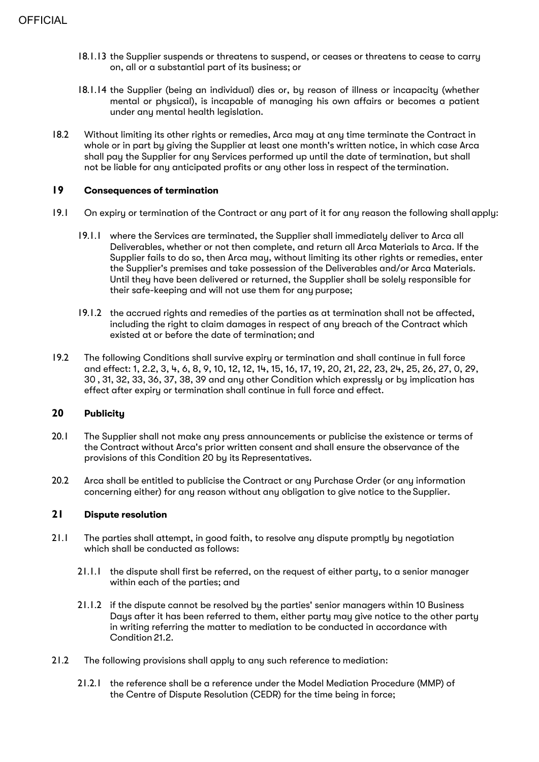- 18.1.13 the Supplier suspends or threatens to suspend, or ceases or threatens to cease to carry on, all or a substantial part of its business; or
- 18.1.14 the Supplier (being an individual) dies or, by reason of illness or incapacity (whether mental or physical), is incapable of managing his own affairs or becomes a patient under any mental health legislation.
- 18.2 Without limiting its other rights or remedies, Arca may at any time terminate the Contract in whole or in part by giving the Supplier at least one month's written notice, in which case Arca shall pay the Supplier for any Services performed up until the date of termination, but shall not be liable for any anticipated profits or any other loss in respect of the termination.

# **19 Consequences of termination**

- 19.1 On expiry or termination of the Contract or any part of it for any reason the following shall apply:
	- 19.1.1 where the Services are terminated, the Supplier shall immediately deliver to Arca all Deliverables, whether or not then complete, and return all Arca Materials to Arca. If the Supplier fails to do so, then Arca may, without limiting its other rights or remedies, enter the Supplier's premises and take possession of the Deliverables and/or Arca Materials. Until they have been delivered or returned, the Supplier shall be solely responsible for their safe-keeping and will not use them for any purpose;
	- 19.1.2 the accrued rights and remedies of the parties as at termination shall not be affected, including the right to claim damages in respect of any breach of the Contract which existed at or before the date of termination; and
- 19.2 The following Conditions shall survive expiry or termination and shall continue in full force and effect: 1, 2.2, 3, 4, 6, 8, 9, 10, 12, 12, 14, 15, 16, 17, 19, 20, 21, 22, 23, 24, 25, 26, 27, 0, 29, 30 , 31, 32, 33, 36, 37, 38, 39 and any other Condition which expressly or by implication has effect after expiry or termination shall continue in full force and effect.

# **20 Publicity**

- 20.1 The Supplier shall not make any press announcements or publicise the existence or terms of the Contract without Arca's prior written consent and shall ensure the observance of the provisions of this Condition 20 by its Representatives.
- 20.2 Arca shall be entitled to publicise the Contract or anu Purchase Order (or anu information concerning either) for any reason without any obligation to give notice to the Supplier.

#### **21 Dispute resolution**

- 21.1 The parties shall attempt, in good faith, to resolve any dispute promptly by negotiation which shall be conducted as follows:
	- 21.1.1 the dispute shall first be referred, on the request of either party, to a senior manager within each of the parties; and
	- 21.1.2 if the dispute cannot be resolved by the parties' senior managers within 10 Business Days after it has been referred to them, either party may give notice to the other party in writing referring the matter to mediation to be conducted in accordance with Condition 21.2.
- 21.2 The following provisions shall apply to any such reference to mediation:
	- 21.2.1 the reference shall be a reference under the Model Mediation Procedure (MMP) of the Centre of Dispute Resolution (CEDR) for the time being in force;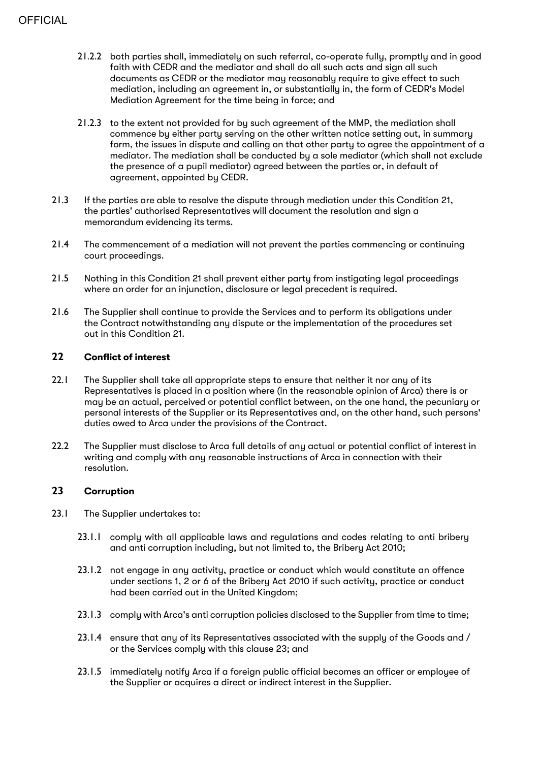- 21.2.2 both parties shall, immediately on such referral, co-operate fully, promptly and in good faith with CEDR and the mediator and shall do all such acts and sign all such documents as CEDR or the mediator may reasonably require to give effect to such mediation, including an agreement in, or substantially in, the form of CEDR's Model Mediation Agreement for the time being in force; and
- 21.2.3 to the extent not provided for by such agreement of the MMP, the mediation shall commence by either party serving on the other written notice setting out, in summary form, the issues in dispute and calling on that other party to agree the appointment of a mediator. The mediation shall be conducted by a sole mediator (which shall not exclude the presence of a pupil mediator) agreed between the parties or, in default of agreement, appointed by CEDR.
- 21.3 If the parties are able to resolve the dispute through mediation under this Condition 21, the parties' authorised Representatives will document the resolution and sign a memorandum evidencing its terms.
- 21.4 The commencement of a mediation will not prevent the parties commencing or continuing court proceedings.
- 21.5 Nothing in this Condition 21 shall prevent either party from instigating legal proceedings where an order for an injunction, disclosure or legal precedent is required.
- 21.6 The Supplier shall continue to provide the Services and to perform its obligations under the Contract notwithstanding any dispute or the implementation of the procedures set out in this Condition 21.

# **22 Conflict of interest**

- 22.1 The Supplier shall take all appropriate steps to ensure that neither it nor any of its Representatives is placed in a position where (in the reasonable opinion of Arca) there is or may be an actual, perceived or potential conflict between, on the one hand, the pecuniary or personal interests of the Supplier or its Representatives and, on the other hand, such persons' duties owed to Arca under the provisions of the Contract.
- 22.2 The Supplier must disclose to Arca full details of any actual or potential conflict of interest in writing and comply with any reasonable instructions of Arca in connection with their resolution.

# **23 Corruption**

- 23.1 The Supplier undertakes to:
	- 23.1.1 comply with all applicable laws and regulations and codes relating to anti bribery and anti corruption including, but not limited to, the Bribery Act 2010;
	- 23.1.2 not engage in any activity, practice or conduct which would constitute an offence under sections 1, 2 or 6 of the Bribery Act 2010 if such activity, practice or conduct had been carried out in the United Kingdom;
	- 23.1.3 comply with Arca's anti corruption policies disclosed to the Supplier from time to time;
	- 23.1.4 ensure that any of its Representatives associated with the supply of the Goods and / or the Services comply with this clause 23; and
	- 23.1.5 immediately notify Arca if a foreign public official becomes an officer or employee of the Supplier or acquires a direct or indirect interest in the Supplier.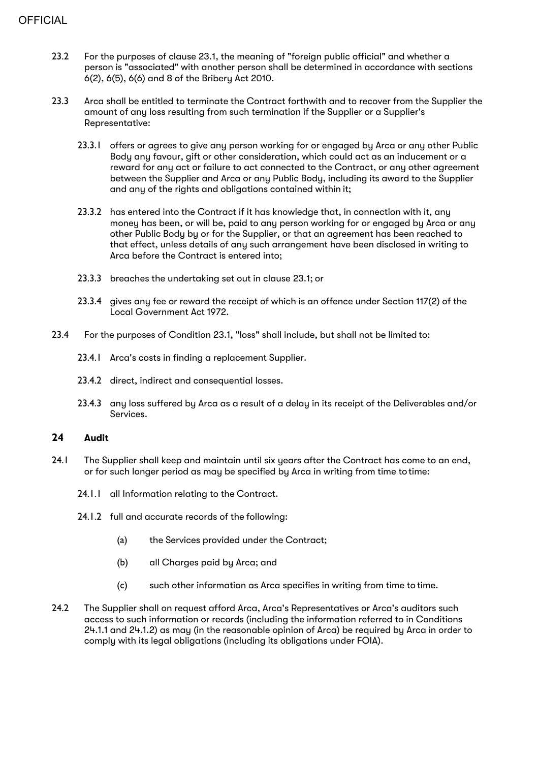- 23.2 For the purposes of clause 23.1, the meaning of "foreign public official" and whether a person is "associated" with another person shall be determined in accordance with sections 6(2), 6(5), 6(6) and 8 of the Bribery Act 2010.
- 23.3 Arca shall be entitled to terminate the Contract forthwith and to recover from the Supplier the amount of any loss resulting from such termination if the Supplier or a Supplier's Representative:
	- 23.3.1 offers or agrees to give any person working for or engaged by Arca or any other Public Body any favour, gift or other consideration, which could act as an inducement or a reward for any act or failure to act connected to the Contract, or any other agreement between the Supplier and Arca or any Public Body, including its award to the Supplier and any of the rights and obligations contained within it;
	- 23.3.2 has entered into the Contract if it has knowledge that, in connection with it, any money has been, or will be, paid to any person working for or engaged by Arca or any other Public Body by or for the Supplier, or that an agreement has been reached to that effect, unless details of any such arrangement have been disclosed in writing to Arca before the Contract is entered into;
	- 23.3.3 breaches the undertaking set out in clause 23.1; or
	- 23.3.4 gives any fee or reward the receipt of which is an offence under Section 117(2) of the Local Government Act 1972.
- 23.4 For the purposes of Condition 23.1, "loss" shall include, but shall not be limited to:
	- 23.4.1 Arca's costs in finding a replacement Supplier.
	- 23.4.2 direct, indirect and consequential losses.
	- 23.4.3 any loss suffered by Arca as a result of a delay in its receipt of the Deliverables and/or Services.

# **24 Audit**

- 24.1 The Supplier shall keep and maintain until six years after the Contract has come to an end, or for such longer period as may be specified by Arca in writing from time totime:
	- 24.1.1 all Information relating to the Contract.
	- 24.1.2 full and accurate records of the following:
		- (a) the Services provided under the Contract;
		- (b) all Charges paid by Arca; and
		- (c) such other information as Arca specifies in writing from time to time.
- 24.2 The Supplier shall on request afford Arca, Arca's Representatives or Arca's auditors such access to such information or records (including the information referred to in Conditions 24.1.1 and 24.1.2) as may (in the reasonable opinion of Arca) be required by Arca in order to comply with its legal obligations (including its obligations under FOIA).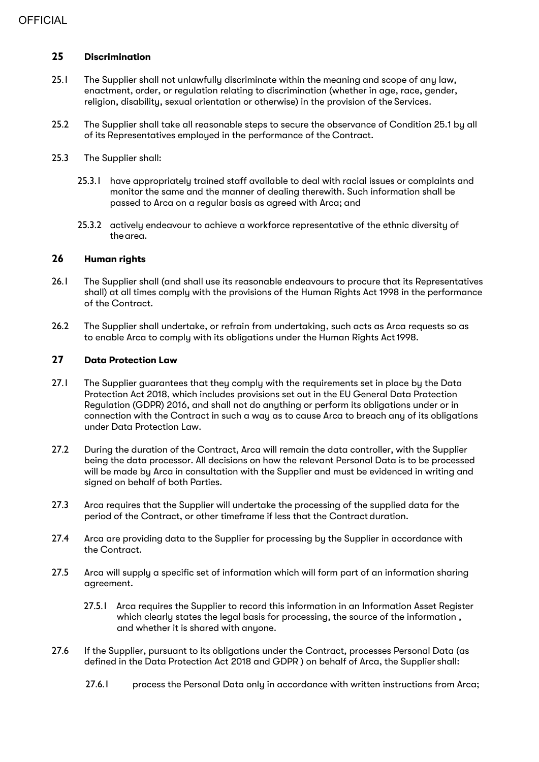# **25 Discrimination**

- 25.1 The Supplier shall not unlawfully discriminate within the meaning and scope of any law, enactment, order, or regulation relating to discrimination (whether in age, race, gender, religion, disability, sexual orientation or otherwise) in the provision of the Services.
- 25.2 The Supplier shall take all reasonable steps to secure the observance of Condition 25.1 by all of its Representatives employed in the performance of the Contract.
- 25.3 The Supplier shall:
	- 25.3.1 have appropriately trained staff available to deal with racial issues or complaints and monitor the same and the manner of dealing therewith. Such information shall be passed to Arca on a regular basis as agreed with Arca; and
	- 25.3.2 actively endeavour to achieve a workforce representative of the ethnic diversity of the area.

### **26 Human rights**

- 26.1 The Supplier shall (and shall use its reasonable endeavours to procure that its Representatives shall) at all times comply with the provisions of the Human Rights Act 1998 in the performance of the Contract.
- 26.2 The Supplier shall undertake, or refrain from undertaking, such acts as Arca requests so as to enable Arca to comply with its obligations under the Human Rights Act1998.

#### **27 Data Protection Law**

- 27.1 The Supplier guarantees that they comply with the requirements set in place by the Data Protection Act 2018, which includes provisions set out in the EU General Data Protection Regulation (GDPR) 2016, and shall not do anything or perform its obligations under or in connection with the Contract in such a way as to cause Arca to breach any of its obligations under Data Protection Law.
- 27.2 During the duration of the Contract, Arca will remain the data controller, with the Supplier being the data processor. All decisions on how the relevant Personal Data is to be processed will be made by Arca in consultation with the Supplier and must be evidenced in writing and signed on behalf of both Parties.
- 27.3 Arca requires that the Supplier will undertake the processing of the supplied data for the period of the Contract, or other timeframe if less that the Contract duration.
- 27.4 Arca are providing data to the Supplier for processing by the Supplier in accordance with the Contract.
- 27.5 Arca will supply a specific set of information which will form part of an information sharing agreement.
	- 27.5.1 Arca requires the Supplier to record this information in an Information Asset Register which clearly states the legal basis for processing, the source of the information , and whether it is shared with anyone.
- 27.6 If the Supplier, pursuant to its obligations under the Contract, processes Personal Data (as defined in the Data Protection Act 2018 and GDPR ) on behalf of Arca, the Supplier shall:
	- 27.6.1 process the Personal Data only in accordance with written instructions from Arca;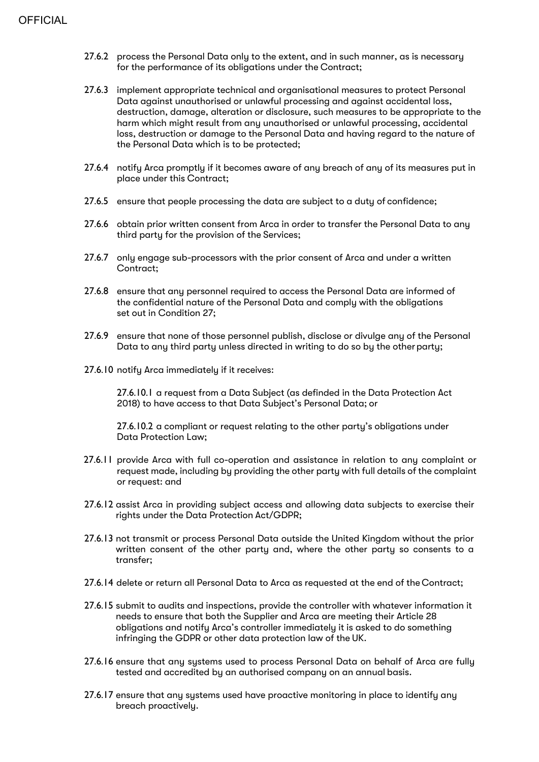- 27.6.2 process the Personal Data only to the extent, and in such manner, as is necessary for the performance of its obligations under the Contract;
- 27.6.3 implement appropriate technical and organisational measures to protect Personal Data against unauthorised or unlawful processing and against accidental loss, destruction, damage, alteration or disclosure, such measures to be appropriate to the harm which might result from any unauthorised or unlawful processing, accidental loss, destruction or damage to the Personal Data and having regard to the nature of the Personal Data which is to be protected;
- 27.6.4 notify Arca promptly if it becomes aware of any breach of any of its measures put in place under this Contract;
- 27.6.5 ensure that people processing the data are subject to a duty of confidence;
- 27.6.6 obtain prior written consent from Arca in order to transfer the Personal Data to any third party for the provision of the Services;
- 27.6.7 only engage sub-processors with the prior consent of Arca and under a written Contract;
- 27.6.8 ensure that any personnel required to access the Personal Data are informed of the confidential nature of the Personal Data and comply with the obligations set out in Condition 27;
- 27.6.9 ensure that none of those personnel publish, disclose or divulge any of the Personal Data to any third party unless directed in writing to do so by the other party;
- 27.6.10 notify Arca immediately if it receives:

27.6.10.1 a request from a Data Subject (as definded in the Data Protection Act 2018) to have access to that Data Subject's Personal Data; or

27.6.10.2 a compliant or request relating to the other party's obligations under Data Protection Law;

- 27.6.11 provide Arca with full co-operation and assistance in relation to any complaint or request made, including by providing the other party with full details of the complaint or request: and
- 27.6.12 assist Arca in providing subject access and allowing data subjects to exercise their rights under the Data Protection Act/GDPR;
- 27.6.13 not transmit or process Personal Data outside the United Kingdom without the prior written consent of the other party and, where the other party so consents to a transfer;
- 27.6.14 delete or return all Personal Data to Arca as requested at the end of the Contract;
- 27.6.15 submit to audits and inspections, provide the controller with whatever information it needs to ensure that both the Supplier and Arca are meeting their Article 28 obligations and notify Arca's controller immediately it is asked to do something infringing the GDPR or other data protection law of the UK.
- 27.6.16 ensure that any systems used to process Personal Data on behalf of Arca are fully tested and accredited by an authorised company on an annual basis.
- 27.6.17 ensure that any systems used have proactive monitoring in place to identify any breach proactively.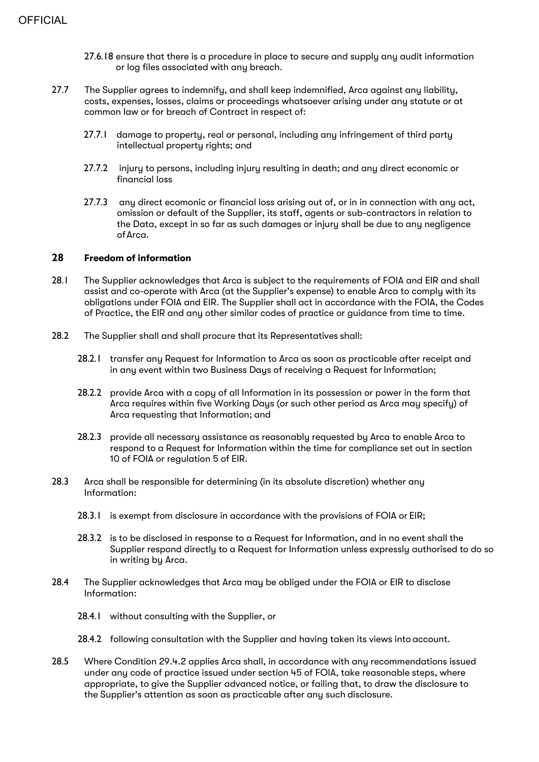- 27.6.18 ensure that there is a procedure in place to secure and supply any audit information or log files associated with any breach.
- 27.7 The Supplier agrees to indemnify, and shall keep indemnified, Arca against any liability, costs, expenses, losses, claims or proceedings whatsoever arising under any statute or at common law or for breach of Contract in respect of:
	- 27.7.1 damage to property, real or personal, including any infringement of third party intellectual property rights; and
	- 27.7.2 injury to persons, including injury resulting in death; and any direct economic or financial loss
	- 27.7.3 any direct ecomonic or financial loss arising out of, or in in connection with any act, omission or default of the Supplier, its staff, agents or sub-contractors in relation to the Data, except in so far as such damages or injury shall be due to any negligence ofArca.

#### **28 Freedom of information**

- 28.1 The Supplier acknowledges that Arca is subject to the requirements of FOIA and EIR and shall assist and co-operate with Arca (at the Supplier's expense) to enable Arca to comply with its obligations under FOIA and EIR. The Supplier shall act in accordance with the FOIA, the Codes of Practice, the EIR and any other similar codes of practice or guidance from time to time.
- 28.2 The Supplier shall and shall procure that its Representatives shall:
	- 28.2.1 transfer any Request for Information to Arca as soon as practicable after receipt and in any event within two Business Days of receiving a Request for Information;
	- 28.2.2 provide Arca with a copy of all Information in its possession or power in the form that Arca requires within five Working Daus (or such other period as Arca may specify) of Arca requesting that Information; and
	- 28.2.3 provide all necessary assistance as reasonably requested by Arca to enable Arca to respond to a Request for Information within the time for compliance set out in section 10 of FOIA or regulation 5 of EIR.
- 28.3 Arca shall be responsible for determining (in its absolute discretion) whether any Information:
	- 28.3.1 is exempt from disclosure in accordance with the provisions of FOIA or EIR;
	- 28.3.2 is to be disclosed in response to a Request for Information, and in no event shall the Supplier respond directly to a Request for Information unless expressly authorised to do so in writing by Arca.
- 28.4 The Supplier acknowledges that Arca may be obliged under the FOIA or EIR to disclose Information:
	- 28.4.1 without consulting with the Supplier, or
	- 28.4.2 following consultation with the Supplier and having taken its views into account.
- 28.5 Where Condition 29.4.2 applies Arca shall, in accordance with any recommendations issued under any code of practice issued under section 45 of FOIA, take reasonable steps, where appropriate, to give the Supplier advanced notice, or failing that, to draw the disclosure to the Supplier's attention as soon as practicable after any such disclosure.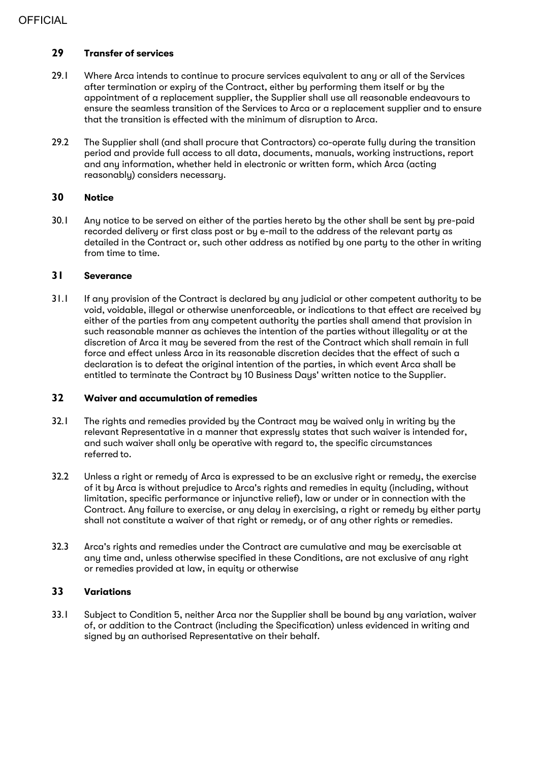# **29 Transfer of services**

- 29.1 Where Arca intends to continue to procure services equivalent to any or all of the Services after termination or expiry of the Contract, either by performing them itself or by the appointment of a replacement supplier, the Supplier shall use all reasonable endeavours to ensure the seamless transition of the Services to Arca or a replacement supplier and to ensure that the transition is effected with the minimum of disruption to Arca.
- 29.2 The Supplier shall (and shall procure that Contractors) co-operate fully during the transition period and provide full access to all data, documents, manuals, working instructions, report and any information, whether held in electronic or written form, which Arca (acting reasonably) considers necessary.

#### **30 Notice**

30.1 Any notice to be served on either of the parties hereto by the other shall be sent by pre-paid recorded delivery or first class post or by e-mail to the address of the relevant party as detailed in the Contract or, such other address as notified by one party to the other in writing from time to time.

#### **31 Severance**

31.1 If any provision of the Contract is declared by any judicial or other competent authority to be void, voidable, illegal or otherwise unenforceable, or indications to that effect are received by either of the parties from any competent authority the parties shall amend that provision in such reasonable manner as achieves the intention of the parties without illegality or at the discretion of Arca it may be severed from the rest of the Contract which shall remain in full force and effect unless Arca in its reasonable discretion decides that the effect of such a declaration is to defeat the original intention of the parties, in which event Arca shall be entitled to terminate the Contract by 10 Business Days' written notice to the Supplier.

#### **32 Waiver and accumulation of remedies**

- 32.1 The rights and remedies provided by the Contract may be waived only in writing by the relevant Representative in a manner that expressly states that such waiver is intended for, and such waiver shall only be operative with regard to, the specific circumstances referred to.
- 32.2 Unless a right or remedy of Arca is expressed to be an exclusive right or remedy, the exercise of it by Arca is without prejudice to Arca's rights and remedies in equity (including, without limitation, specific performance or injunctive relief), law or under or in connection with the Contract. Any failure to exercise, or any delay in exercising, a right or remedy by either party shall not constitute a waiver of that right or remedy, or of any other rights or remedies.
- 32.3 Arca's rights and remedies under the Contract are cumulative and may be exercisable at any time and, unless otherwise specified in these Conditions, are not exclusive of any right or remedies provided at law, in equity or otherwise

# **33 Variations**

33.1 Subject to Condition 5, neither Arca nor the Supplier shall be bound by any variation, waiver of, or addition to the Contract (including the Specification) unless evidenced in writing and signed by an authorised Representative on their behalf.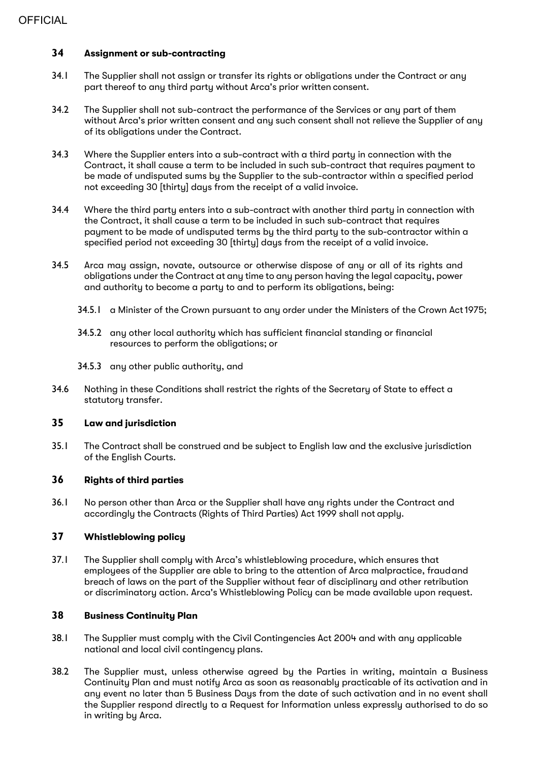# **34 Assignment or sub-contracting**

- 34.1 The Supplier shall not assign or transfer its rights or obligations under the Contract or any part thereof to any third party without Arca's prior written consent.
- 34.2 The Supplier shall not sub-contract the performance of the Services or any part of them without Arca's prior written consent and any such consent shall not relieve the Supplier of any of its obligations under the Contract.
- 34.3 Where the Supplier enters into a sub-contract with a third party in connection with the Contract, it shall cause a term to be included in such sub-contract that requires payment to be made of undisputed sums by the Supplier to the sub-contractor within a specified period not exceeding 30 [thirty] days from the receipt of a valid invoice.
- 34.4 Where the third party enters into a sub-contract with another third party in connection with the Contract, it shall cause a term to be included in such sub-contract that requires payment to be made of undisputed terms by the third party to the sub-contractor within a specified period not exceeding 30 [thirty] days from the receipt of a valid invoice.
- 34.5 Arca may assign, novate, outsource or otherwise dispose of any or all of its rights and obligations under the Contract at any time to any person having the legal capacity, power and authority to become a party to and to perform its obligations, being:
	- 34.5.1 a Minister of the Crown pursuant to any order under the Ministers of the Crown Act1975;
	- 34.5.2 any other local authority which has sufficient financial standing or financial resources to perform the obligations; or
	- 34.5.3 any other public authority, and
- 34.6 Nothing in these Conditions shall restrict the rights of the Secretary of State to effect a statutory transfer.

### **35 Law and jurisdiction**

35.1 The Contract shall be construed and be subject to English law and the exclusive jurisdiction of the English Courts.

#### **36 Rights of third parties**

36.1 No person other than Arca or the Supplier shall have any rights under the Contract and accordingly the Contracts (Rights of Third Parties) Act 1999 shall not apply.

# **37 Whistleblowing policy**

37.1 The Supplier shall comply with Arca's whistleblowing procedure, which ensures that employees of the Supplier are able to bring to the attention of Arca malpractice, fraudand breach of laws on the part of the Supplier without fear of disciplinary and other retribution or discriminatory action. Arca's Whistleblowing Policy can be made available upon request.

#### **38 Business Continuity Plan**

- 38.1 The Supplier must comply with the Civil Contingencies Act 2004 and with any applicable national and local civil contingency plans.
- 38.2 The Supplier must, unless otherwise agreed by the Parties in writing, maintain a Business Continuity Plan and must notify Arca as soon as reasonably practicable of its activation and in any event no later than 5 Business Days from the date of such activation and in no event shall the Supplier respond directly to a Request for Information unless expressly authorised to do so in writing by Arca.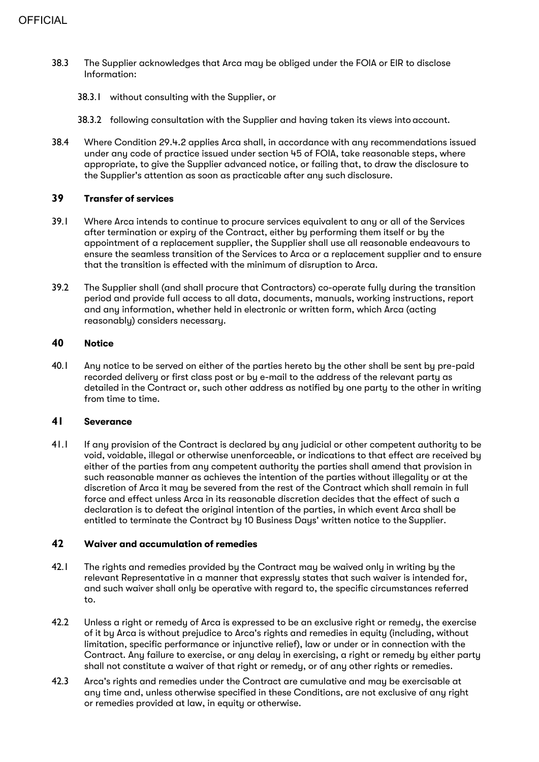- 38.3 The Supplier acknowledges that Arca may be obliged under the FOIA or EIR to disclose Information:
	- 38.3.1 without consulting with the Supplier, or
	- 38.3.2 following consultation with the Supplier and having taken its views into account.
- 38.4 Where Condition 29.4.2 applies Arca shall, in accordance with any recommendations issued under any code of practice issued under section 45 of FOIA, take reasonable steps, where appropriate, to give the Supplier advanced notice, or failing that, to draw the disclosure to the Supplier's attention as soon as practicable after any such disclosure.

#### **39 Transfer of services**

- 39.1 Where Arca intends to continue to procure services equivalent to any or all of the Services after termination or expiry of the Contract, either by performing them itself or by the appointment of a replacement supplier, the Supplier shall use all reasonable endeavours to ensure the seamless transition of the Services to Arca or a replacement supplier and to ensure that the transition is effected with the minimum of disruption to Arca.
- 39.2 The Supplier shall (and shall procure that Contractors) co-operate fully during the transition period and provide full access to all data, documents, manuals, working instructions, report and any information, whether held in electronic or written form, which Arca (acting reasonably) considers necessary.

#### **40 Notice**

40.1 Any notice to be served on either of the parties hereto by the other shall be sent by pre-paid recorded delivery or first class post or by e-mail to the address of the relevant party as detailed in the Contract or, such other address as notified by one party to the other in writing from time to time.

#### **41 Severance**

41.1 If any provision of the Contract is declared by any judicial or other competent authority to be void, voidable, illegal or otherwise unenforceable, or indications to that effect are received by either of the parties from any competent authority the parties shall amend that provision in such reasonable manner as achieves the intention of the parties without illegality or at the discretion of Arca it may be severed from the rest of the Contract which shall remain in full force and effect unless Arca in its reasonable discretion decides that the effect of such a declaration is to defeat the original intention of the parties, in which event Arca shall be entitled to terminate the Contract by 10 Business Days' written notice to the Supplier.

#### **42 Waiver and accumulation of remedies**

- 42.1 The rights and remedies provided by the Contract may be waived only in writing by the relevant Representative in a manner that expressly states that such waiver is intended for, and such waiver shall only be operative with regard to, the specific circumstances referred to.
- 42.2 Unless a right or remedy of Arca is expressed to be an exclusive right or remedy, the exercise of it by Arca is without prejudice to Arca's rights and remedies in equity (including, without limitation, specific performance or injunctive relief), law or under or in connection with the Contract. Any failure to exercise, or any delay in exercising, a right or remedy by either party shall not constitute a waiver of that right or remedy, or of any other rights or remedies.
- 42.3 Arca's rights and remedies under the Contract are cumulative and may be exercisable at any time and, unless otherwise specified in these Conditions, are not exclusive of any right or remedies provided at law, in equity or otherwise.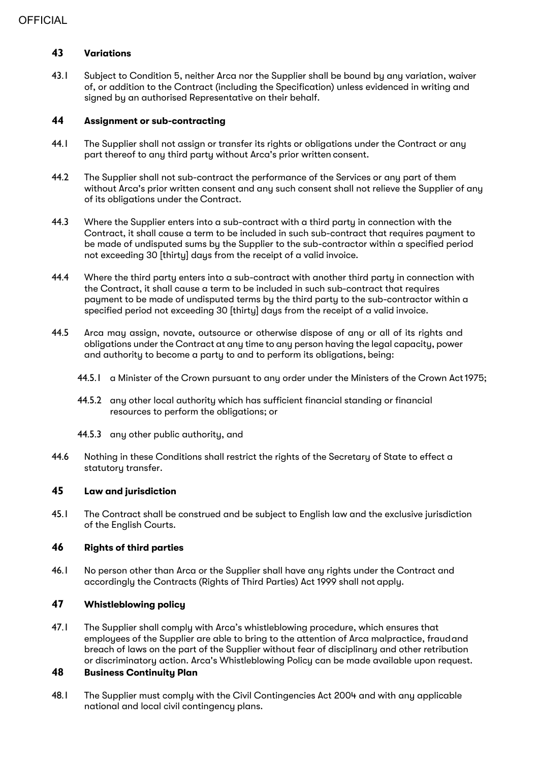# **43 Variations**

43.1 Subject to Condition 5, neither Arca nor the Supplier shall be bound by any variation, waiver of, or addition to the Contract (including the Specification) unless evidenced in writing and signed by an authorised Representative on their behalf.

#### **44 Assignment or sub-contracting**

- 44.1 The Supplier shall not assign or transfer its rights or obligations under the Contract or any part thereof to any third party without Arca's prior written consent.
- 44.2 The Supplier shall not sub-contract the performance of the Services or any part of them without Arca's prior written consent and any such consent shall not relieve the Supplier of any of its obligations under the Contract.
- 44.3 Where the Supplier enters into a sub-contract with a third party in connection with the Contract, it shall cause a term to be included in such sub-contract that requires payment to be made of undisputed sums by the Supplier to the sub-contractor within a specified period not exceeding 30 [thirtu] days from the receipt of a valid invoice.
- 44.4 Where the third party enters into a sub-contract with another third party in connection with the Contract, it shall cause a term to be included in such sub-contract that requires payment to be made of undisputed terms by the third party to the sub-contractor within a specified period not exceeding 30 [thirty] days from the receipt of a valid invoice.
- 44.5 Arca may assign, novate, outsource or otherwise dispose of any or all of its rights and obligations under the Contract at any time to any person having the legal capacity, power and authority to become a party to and to perform its obligations, being:
	- 44.5.1 a Minister of the Crown pursuant to any order under the Ministers of the Crown Act1975;
	- 44.5.2 any other local authority which has sufficient financial standing or financial resources to perform the obligations; or
	- 44.5.3 any other public authority, and
- 44.6 Nothing in these Conditions shall restrict the rights of the Secretary of State to effect a statutory transfer.

# **45 Law and jurisdiction**

45.1 The Contract shall be construed and be subject to English law and the exclusive jurisdiction of the English Courts.

# **46 Rights of third parties**

46.1 No person other than Arca or the Supplier shall have any rights under the Contract and accordingly the Contracts (Rights of Third Parties) Act 1999 shall not apply.

# **47 Whistleblowing policy**

47.1 The Supplier shall comply with Arca's whistleblowing procedure, which ensures that employees of the Supplier are able to bring to the attention of Arca malpractice, fraudand breach of laws on the part of the Supplier without fear of disciplinary and other retribution or discriminatory action. Arca's Whistleblowing Policy can be made available upon request.

# **48 Business Continuity Plan**

48.1 The Supplier must comply with the Civil Contingencies Act 2004 and with any applicable national and local civil contingency plans.